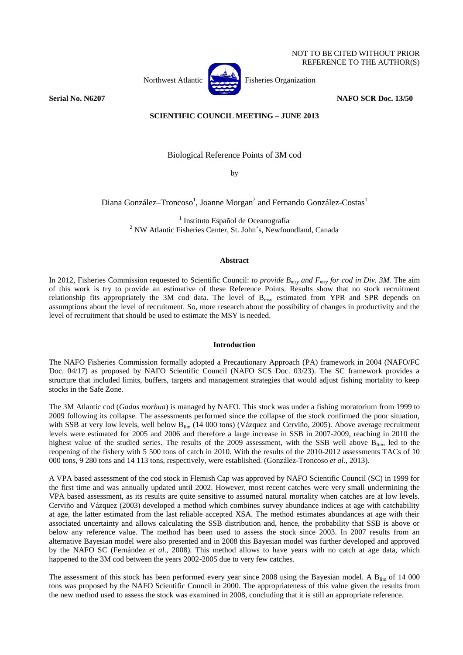

NOT TO BE CITED WITHOUT PRIOR REFERENCE TO THE AUTHOR(S)

**Serial No. N6207 NAFO SCR Doc. 13/50** 

# **SCIENTIFIC COUNCIL MEETING – JUNE 2013**

Biological Reference Points of 3M cod

by

Diana González–Troncoso<sup>1</sup>, Joanne Morgan<sup>2</sup> and Fernando González-Costas<sup>1</sup>

<sup>1</sup> Instituto Español de Oceanografía <sup>2</sup> NW Atlantic Fisheries Center, St. John´s, Newfoundland, Canada

## **Abstract**

In 2012, Fisheries Commission requested to Scientific Council: *to provide Bmsy and Fmsy for cod in Div. 3M.* The aim of this work is try to provide an estimative of these Reference Points. Results show that no stock recruitment relationship fits appropriately the 3M cod data. The level of  $B_{\text{msy}}$  estimated from YPR and SPR depends on assumptions about the level of recruitment. So, more research about the possibility of changes in productivity and the level of recruitment that should be used to estimate the MSY is needed.

#### **Introduction**

The NAFO Fisheries Commission formally adopted a Precautionary Approach (PA) framework in 2004 (NAFO/FC Doc. 04/17) as proposed by NAFO Scientific Council (NAFO SCS Doc. 03/23). The SC framework provides a structure that included limits, buffers, targets and management strategies that would adjust fishing mortality to keep stocks in the Safe Zone.

The 3M Atlantic cod (*Gadus morhua*) is managed by NAFO. This stock was under a fishing moratorium from 1999 to 2009 following its collapse. The assessments performed since the collapse of the stock confirmed the poor situation, with SSB at very low levels, well below  $B_{lim}$  (14 000 tons) (Vázquez and Cerviño, 2005). Above average recruitment levels were estimated for 2005 and 2006 and therefore a large increase in SSB in 2007-2009, reaching in 2010 the highest value of the studied series. The results of the 2009 assessment, with the SSB well above  $B_{\text{lim}}$ , led to the reopening of the fishery with 5 500 tons of catch in 2010. With the results of the 2010-2012 assessments TACs of 10 000 tons, 9 280 tons and 14 113 tons, respectively, were established. (González-Troncoso *et al.*, 2013).

A VPA based assessment of the cod stock in Flemish Cap was approved by NAFO Scientific Council (SC) in 1999 for the first time and was annually updated until 2002. However, most recent catches were very small undermining the VPA based assessment, as its results are quite sensitive to assumed natural mortality when catches are at low levels. Cerviño and Vázquez (2003) developed a method which combines survey abundance indices at age with catchability at age, the latter estimated from the last reliable accepted XSA. The method estimates abundances at age with their associated uncertainty and allows calculating the SSB distribution and, hence, the probability that SSB is above or below any reference value. The method has been used to assess the stock since 2003. In 2007 results from an alternative Bayesian model were also presented and in 2008 this Bayesian model was further developed and approved by the NAFO SC (Fernández *et al.*, 2008). This method allows to have years with no catch at age data, which happened to the 3M cod between the years 2002-2005 due to very few catches.

The assessment of this stock has been performed every year since 2008 using the Bayesian model. A  $B_{\text{lim}}$  of 14 000 tons was proposed by the NAFO Scientific Council in 2000. The appropriateness of this value given the results from the new method used to assess the stock was examined in 2008, concluding that it is still an appropriate reference.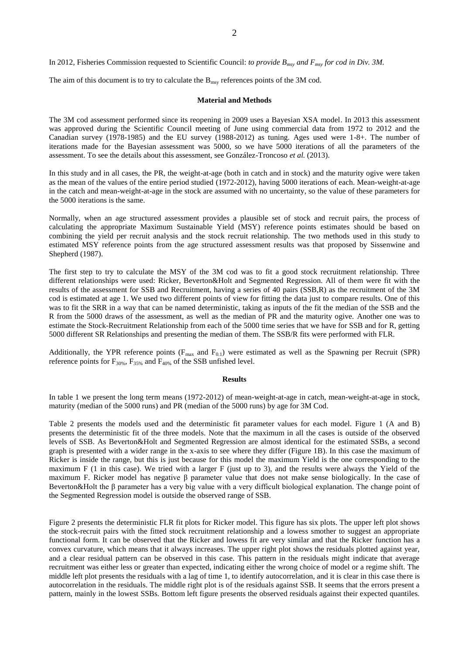In 2012, Fisheries Commission requested to Scientific Council: *to provide Bmsy and Fmsy for cod in Div. 3M.*

The aim of this document is to try to calculate the  $B_{\text{msy}}$  references points of the 3M cod.

#### **Material and Methods**

The 3M cod assessment performed since its reopening in 2009 uses a Bayesian XSA model. In 2013 this assessment was approved during the Scientific Council meeting of June using commercial data from 1972 to 2012 and the Canadian survey (1978-1985) and the EU survey (1988-2012) as tuning. Ages used were 1-8+. The number of iterations made for the Bayesian assessment was 5000, so we have 5000 iterations of all the parameters of the assessment. To see the details about this assessment, see González-Troncoso *et al.* (2013).

In this study and in all cases, the PR, the weight-at-age (both in catch and in stock) and the maturity ogive were taken as the mean of the values of the entire period studied (1972-2012), having 5000 iterations of each. Mean-weight-at-age in the catch and mean-weight-at-age in the stock are assumed with no uncertainty, so the value of these parameters for the 5000 iterations is the same.

Normally, when an age structured assessment provides a plausible set of stock and recruit pairs, the process of calculating the appropriate Maximum Sustainable Yield (MSY) reference points estimates should be based on combining the yield per recruit analysis and the stock recruit relationship. The two methods used in this study to estimated MSY reference points from the age structured assessment results was that proposed by Sissenwine and Shepherd (1987).

The first step to try to calculate the MSY of the 3M cod was to fit a good stock recruitment relationship. Three different relationships were used: Ricker, Beverton&Holt and Segmented Regression. All of them were fit with the results of the assessment for SSB and Recruitment, having a series of 40 pairs (SSB,R) as the recruitment of the 3M cod is estimated at age 1. We used two different points of view for fitting the data just to compare results. One of this was to fit the SRR in a way that can be named deterministic, taking as inputs of the fit the median of the SSB and the R from the 5000 draws of the assessment, as well as the median of PR and the maturity ogive. Another one was to estimate the Stock-Recruitment Relationship from each of the 5000 time series that we have for SSB and for R, getting 5000 different SR Relationships and presenting the median of them. The SSB/R fits were performed with FLR.

Additionally, the YPR reference points ( $F_{\text{max}}$  and  $F_{0.1}$ ) were estimated as well as the Spawning per Recruit (SPR) reference points for  $F_{30\%}$ ,  $F_{35\%}$  and  $F_{40\%}$  of the SSB unfished level.

#### **Results**

In table 1 we present the long term means (1972-2012) of mean-weight-at-age in catch, mean-weight-at-age in stock, maturity (median of the 5000 runs) and PR (median of the 5000 runs) by age for 3M Cod.

Table 2 presents the models used and the deterministic fit parameter values for each model. Figure 1 (A and B) presents the deterministic fit of the three models. Note that the maximum in all the cases is outside of the observed levels of SSB. As Beverton&Holt and Segmented Regression are almost identical for the estimated SSBs, a second graph is presented with a wider range in the x-axis to see where they differ (Figure 1B). In this case the maximum of Ricker is inside the range, but this is just because for this model the maximum Yield is the one corresponding to the maximum F  $(1 \text{ in this case})$ . We tried with a larger F (just up to 3), and the results were always the Yield of the maximum F. Ricker model has negative β parameter value that does not make sense biologically. In the case of Beverton&Holt the β parameter has a very big value with a very difficult biological explanation. The change point of the Segmented Regression model is outside the observed range of SSB.

Figure 2 presents the deterministic FLR fit plots for Ricker model. This figure has six plots. The upper left plot shows the stock-recruit pairs with the fitted stock recruitment relationship and a lowess smother to suggest an appropriate functional form. It can be observed that the Ricker and lowess fit are very similar and that the Ricker function has a convex curvature, which means that it always increases. The upper right plot shows the residuals plotted against year, and a clear residual pattern can be observed in this case. This pattern in the residuals might indicate that average recruitment was either less or greater than expected, indicating either the wrong choice of model or a regime shift. The middle left plot presents the residuals with a lag of time 1, to identify autocorrelation, and it is clear in this case there is autocorrelation in the residuals. The middle right plot is of the residuals against SSB. It seems that the errors present a pattern, mainly in the lowest SSBs. Bottom left figure presents the observed residuals against their expected quantiles.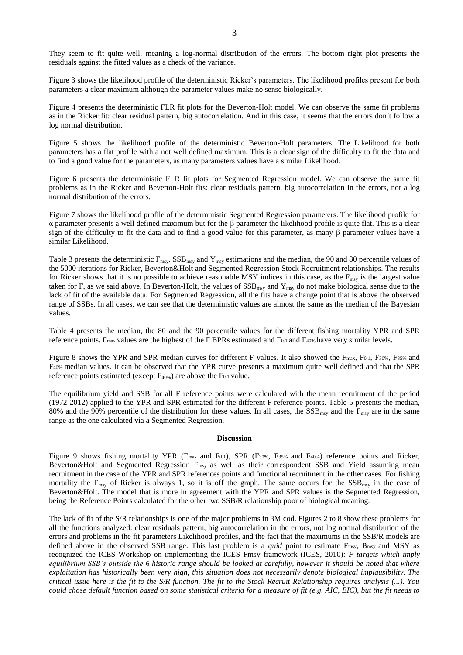They seem to fit quite well, meaning a log-normal distribution of the errors. The bottom right plot presents the residuals against the fitted values as a check of the variance.

Figure 3 shows the likelihood profile of the deterministic Ricker's parameters. The likelihood profiles present for both parameters a clear maximum although the parameter values make no sense biologically.

Figure 4 presents the deterministic FLR fit plots for the Beverton-Holt model. We can observe the same fit problems as in the Ricker fit: clear residual pattern, big autocorrelation. And in this case, it seems that the errors don´t follow a log normal distribution.

Figure 5 shows the likelihood profile of the deterministic Beverton-Holt parameters. The Likelihood for both parameters has a flat profile with a not well defined maximum. This is a clear sign of the difficulty to fit the data and to find a good value for the parameters, as many parameters values have a similar Likelihood.

Figure 6 presents the deterministic FLR fit plots for Segmented Regression model. We can observe the same fit problems as in the Ricker and Beverton-Holt fits: clear residuals pattern, big autocorrelation in the errors, not a log normal distribution of the errors.

Figure 7 shows the likelihood profile of the deterministic Segmented Regression parameters. The likelihood profile for α parameter presents a well defined maximum but for the β parameter the likelihood profile is quite flat. This is a clear sign of the difficulty to fit the data and to find a good value for this parameter, as many  $\beta$  parameter values have a similar Likelihood.

Table 3 presents the deterministic  $F_{\text{msy}}$ , SSB<sub>msy</sub> and  $Y_{\text{msy}}$  estimations and the median, the 90 and 80 percentile values of the 5000 iterations for Ricker, Beverton&Holt and Segmented Regression Stock Recruitment relationships. The results for Ricker shows that it is no possible to achieve reasonable MSY indices in this case, as the  $F_{\text{msy}}$  is the largest value taken for F, as we said above. In Beverton-Holt, the values of  $SSB_{msy}$  and  $Y_{msy}$  do not make biological sense due to the lack of fit of the available data. For Segmented Regression, all the fits have a change point that is above the observed range of SSBs. In all cases, we can see that the deterministic values are almost the same as the median of the Bayesian values.

Table 4 presents the median, the 80 and the 90 percentile values for the different fishing mortality YPR and SPR reference points. Fmax values are the highest of the F BPRs estimated and F0.1 and F40% have very similar levels.

Figure 8 shows the YPR and SPR median curves for different F values. It also showed the F<sub>max</sub>, F<sub>0.1</sub>, F<sub>30%</sub>, F<sub>35%</sub> and F40% median values. It can be observed that the YPR curve presents a maximum quite well defined and that the SPR reference points estimated (except  $F_{40\%}$ ) are above the F<sub>0.1</sub> value.

The equilibrium yield and SSB for all F reference points were calculated with the mean recruitment of the period (1972-2012) applied to the YPR and SPR estimated for the different F reference points. Table 5 presents the median, 80% and the 90% percentile of the distribution for these values. In all cases, the  $SSB_{msy}$  and the  $F_{msy}$  are in the same range as the one calculated via a Segmented Regression.

### **Discussion**

Figure 9 shows fishing mortality YPR (F<sub>max</sub> and F0.1), SPR (F<sub>30%</sub>, F<sub>35%</sub> and F<sub>40%</sub>) reference points and Ricker, Beverton&Holt and Segmented Regression F<sub>msy</sub> as well as their correspondent SSB and Yield assuming mean recruitment in the case of the YPR and SPR references points and functional recruitment in the other cases. For fishing mortality the  $F_{\text{msy}}$  of Ricker is always 1, so it is off the graph. The same occurs for the  $SSB_{\text{msy}}$  in the case of Beverton&Holt. The model that is more in agreement with the YPR and SPR values is the Segmented Regression, being the Reference Points calculated for the other two SSB/R relationship poor of biological meaning.

The lack of fit of the S/R relationships is one of the major problems in 3M cod. Figures 2 to 8 show these problems for all the functions analyzed: clear residuals pattern, big autocorrelation in the errors, not log normal distribution of the errors and problems in the fit parameters Likelihood profiles, and the fact that the maximums in the SSB/R models are defined above in the observed SSB range. This last problem is a *quid* point to estimate Fmsy, Bmsy and MSY as recognized the ICES Workshop on implementing the ICES Fmsy framework (ICES, 2010): *F targets which imply equilibrium SSB's outside the* 6 *historic range should be looked at carefully, however it should be noted that where exploitation has historically been very high, this situation does not necessarily denote biological implausibility. The critical issue here is the fit to the S/R function. The fit to the Stock Recruit Relationship requires analysis (...). You could chose default function based on some statistical criteria for a measure of fit (e.g. AIC, BIC), but the fit needs to*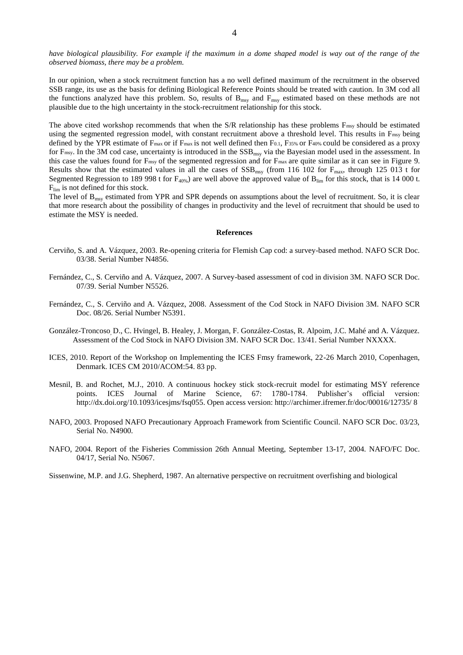*have biological plausibility. For example if the maximum in a dome shaped model is way out of the range of the observed biomass, there may be a problem.*

In our opinion, when a stock recruitment function has a no well defined maximum of the recruitment in the observed SSB range, its use as the basis for defining Biological Reference Points should be treated with caution. In 3M cod all the functions analyzed have this problem. So, results of  $B_{\text{msy}}$  and  $F_{\text{msy}}$  estimated based on these methods are not plausible due to the high uncertainty in the stock-recruitment relationship for this stock.

The above cited workshop recommends that when the S/R relationship has these problems F<sub>msy</sub> should be estimated using the segmented regression model, with constant recruitment above a threshold level. This results in F<sub>msy</sub> being defined by the YPR estimate of F<sub>max</sub> or if F<sub>max</sub> is not well defined then F0.1, F35% or F40% could be considered as a proxy for F<sub>msy</sub>. In the 3M cod case, uncertainty is introduced in the SSB<sub>msy</sub> via the Bayesian model used in the assessment. In this case the values found for  $F_{\text{msy}}$  of the segmented regression and for  $F_{\text{max}}$  are quite similar as it can see in Figure 9. Results show that the estimated values in all the cases of  $SSB_{msy}$  (from 116 102 for  $F_{max}$ , through 125 013 t for Segmented Regression to 189 998 t for  $F_{40\%}$  are well above the approved value of  $B_{lim}$  for this stock, that is 14 000 t.  $F_{\text{lim}}$  is not defined for this stock.

The level of  $B_{\text{msy}}$  estimated from YPR and SPR depends on assumptions about the level of recruitment. So, it is clear that more research about the possibility of changes in productivity and the level of recruitment that should be used to estimate the MSY is needed.

#### **References**

- Cerviño, S. and A. Vázquez, 2003. Re-opening criteria for Flemish Cap cod: a survey-based method. NAFO SCR Doc. 03/38. Serial Number N4856.
- Fernández, C., S. Cerviño and A. Vázquez, 2007. A Survey-based assessment of cod in division 3M. NAFO SCR Doc. 07/39. Serial Number N5526.
- Fernández, C., S. Cerviño and A. Vázquez, 2008. Assessment of the Cod Stock in NAFO Division 3M. NAFO SCR Doc. 08/26. Serial Number N5391.
- González-Troncoso, D., C. Hvingel, B. Healey, J. Morgan, F. González-Costas, R. Alpoim, J.C. Mahé and A. Vázquez. Assessment of the Cod Stock in NAFO Division 3M. NAFO SCR Doc. 13/41. Serial Number NXXXX.
- ICES, 2010. Report of the Workshop on Implementing the ICES Fmsy framework, 22-26 March 2010, Copenhagen, Denmark. ICES CM 2010/ACOM:54. 83 pp.
- Mesnil, B. and Rochet, M.J., 2010. A continuous hockey stick stock-recruit model for estimating MSY reference points. ICES Journal of Marine Science, 67: 1780-1784. Publisher's official version: http://dx.doi.org/10.1093/icesjms/fsq055. Open access version: http://archimer.ifremer.fr/doc/00016/12735/ 8
- NAFO, 2003. Proposed NAFO Precautionary Approach Framework from Scientific Council. NAFO SCR Doc. 03/23, Serial No. N4900.
- NAFO, 2004. Report of the Fisheries Commission 26th Annual Meeting, September 13-17, 2004. NAFO/FC Doc. 04/17, Serial No. N5067.

Sissenwine, M.P. and J.G. Shepherd, 1987. An alternative perspective on recruitment overfishing and biological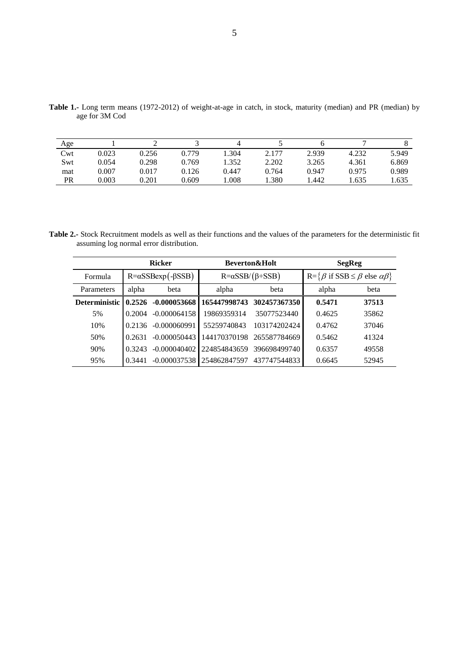| Age |       |       |       | 4     |       |       |       |       |
|-----|-------|-------|-------|-------|-------|-------|-------|-------|
| Cwt | 0.023 | 0.256 | 0.779 | .304  | 2.177 | 2.939 | 4.232 | 5.949 |
| Swt | 0.054 | 0.298 | 0.769 | .352  | 2.202 | 3.265 | 4.361 | 6.869 |
| mat | 0.007 | 0.017 | 0.126 | 0.447 | 0.764 | 0.947 | 0.975 | 0.989 |
| PR  | 0.003 | 0.201 | 0.609 | .008  | .380  | .442  | .635  | .635  |

**Table 1.-** Long term means (1972-2012) of weight-at-age in catch, in stock, maturity (median) and PR (median) by age for 3M Cod

**Table 2.-** Stock Recruitment models as well as their functions and the values of the parameters for the deterministic fit assuming log normal error distribution.

| <b>Ricker</b>   |                                    |                |              | <b>Beverton&amp;Holt</b>       | <b>SegReg</b>                                                           |       |  |
|-----------------|------------------------------------|----------------|--------------|--------------------------------|-------------------------------------------------------------------------|-------|--|
| Formula         | $R = \alpha$ SSBexp(- $\beta$ SSB) |                |              | $R = \alpha SSB/(\beta + SSB)$ | $R = \{ \beta \text{ if } SSB \leq \beta \text{ else } \alpha \beta \}$ |       |  |
| Parameters      | alpha<br>beta                      |                | alpha        | beta                           | alpha                                                                   | beta  |  |
| Deterministic I | 0.2526                             | $-0.000053668$ | 165447998743 | 302457367350                   | 0.5471                                                                  | 37513 |  |
| 5%              | 0.2004                             | $-0.000064158$ | 19869359314  | 35077523440                    | 0.4625                                                                  | 35862 |  |
| 10%             | 0.2136                             | $-0.000060991$ | 55259740843  | 103174202424                   | 0.4762                                                                  | 37046 |  |
| 50%             | 0.2631                             | $-0.000050443$ | 144170370198 | 265587784669                   | 0.5462                                                                  | 41324 |  |
| 90%             | 0.3243                             | $-0.000040402$ | 224854843659 | 396698499740                   | 0.6357                                                                  | 49558 |  |
| 95%             | 0.3441                             | $-0.000037538$ | 254862847597 | 437747544833                   | 0.6645                                                                  | 52945 |  |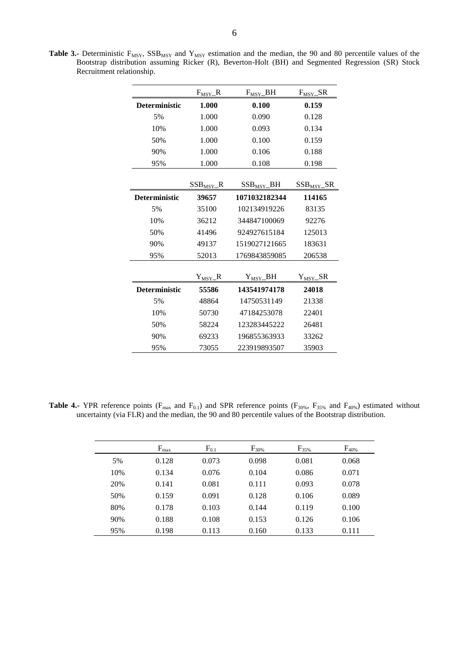Table 3.- Deterministic F<sub>MSY</sub>, SSB<sub>MSY</sub> and Y<sub>MSY</sub> estimation and the median, the 90 and 80 percentile values of the Bootstrap distribution assuming Ricker (R), Beverton-Holt (BH) and Segmented Regression (SR) Stock Recruitment relationship.

|                      | $F_{MSY}\_R$             | $F_{MSY}\_BH$   | $F_{MSY}\_R$         |
|----------------------|--------------------------|-----------------|----------------------|
| Deterministic        | 1.000                    | 0.100           | 0.159                |
| 5%                   | 1.000                    | 0.090           | 0.128                |
| 10%                  | 1.000                    | 0.093           | 0.134                |
| 50%                  | 1.000                    | 0.100           | 0.159                |
| 90%                  | 1.000                    | 0.106           | 0.188                |
| 95%                  | 1.000                    | 0.108           | 0.198                |
|                      | $SSB_{MSY}$ <sub>R</sub> | $SSB_{MSY}\_BH$ | $SSB_{MSY}\_SR$      |
| <b>Deterministic</b> | 39657                    | 1071032182344   | 114165               |
| 5%                   | 35100                    | 102134919226    | 83135                |
| 10%                  | 36212                    | 344847100069    | 92276                |
| 50%                  | 41496                    | 924927615184    | 125013               |
| 90%                  | 49137                    | 1519027121665   | 183631               |
| 95%                  | 52013                    | 1769843859085   | 206538               |
|                      |                          |                 |                      |
|                      | $Y_{\rm MSY}\_\text{R}$  | $Y_{MSY}$ BH    | $Y_{MSY}\_\text{SR}$ |
| <b>Deterministic</b> | 55586                    | 143541974178    | 24018                |
| 5%                   | 48864                    | 14750531149     | 21338                |
| 10%                  | 50730                    | 47184253078     | 22401                |
| 50%                  | 58224                    | 123283445222    | 26481                |
| 90%                  | 69233                    | 196855363933    | 33262                |
| 95%                  | 73055                    | 223919893507    | 35903                |

**Table 4.-** YPR reference points ( $F_{max}$  and  $F_{0.1}$ ) and SPR reference points ( $F_{30\%}$ ,  $F_{35\%}$  and  $F_{40\%}$ ) estimated without uncertainty (via FLR) and the median, the 90 and 80 percentile values of the Bootstrap distribution.

|     | $F_{\text{max}}$ | $F_{0.1}$ | $F_{30\%}$ | $F_{35\%}$ | $F_{40\%}$ |
|-----|------------------|-----------|------------|------------|------------|
| 5%  | 0.128            | 0.073     | 0.098      | 0.081      | 0.068      |
| 10% | 0.134            | 0.076     | 0.104      | 0.086      | 0.071      |
| 20% | 0.141            | 0.081     | 0.111      | 0.093      | 0.078      |
| 50% | 0.159            | 0.091     | 0.128      | 0.106      | 0.089      |
| 80% | 0.178            | 0.103     | 0.144      | 0.119      | 0.100      |
| 90% | 0.188            | 0.108     | 0.153      | 0.126      | 0.106      |
| 95% | 0.198            | 0.113     | 0.160      | 0.133      | 0.111      |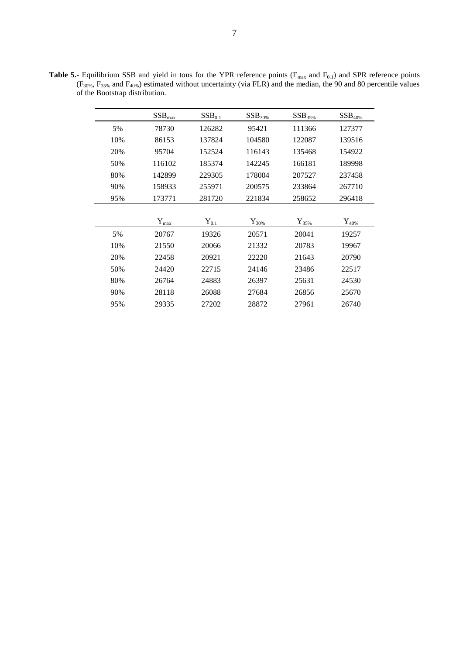| <b>Table 5.-</b> Equilibrium SSB and yield in tons for the YPR reference points ( $F_{\text{max}}$ and $F_{0,1}$ ) and SPR reference points |  |  |  |  |
|---------------------------------------------------------------------------------------------------------------------------------------------|--|--|--|--|
| $(F_{30\%}, F_{35\%})$ and $F_{40\%})$ estimated without uncertainty (via FLR) and the median, the 90 and 80 percentile values              |  |  |  |  |
| of the Bootstrap distribution.                                                                                                              |  |  |  |  |

|     | $SSB_{\text{max}}$    | SSB <sub>0.1</sub> | $SSB30%$         | $SSB35%$         | $SSB40%$            |
|-----|-----------------------|--------------------|------------------|------------------|---------------------|
| 5%  | 78730                 | 126282             | 95421            | 111366           | 127377              |
| 10% | 86153                 | 137824             | 104580           | 122087           | 139516              |
| 20% | 95704                 | 152524             | 116143           | 135468           | 154922              |
| 50% | 116102                | 185374             | 142245           | 166181           | 189998              |
| 80% | 142899                | 229305             | 178004           | 207527           | 237458              |
| 90% | 158933                | 255971             | 200575           | 233864           | 267710              |
| 95% | 173771                | 281720             | 221834           | 258652           | 296418              |
|     |                       |                    |                  |                  |                     |
|     | $Y_{\underline{max}}$ | $Y_{0.1}$          | ${\rm Y}_{30\%}$ | ${\rm Y}_{35\%}$ | $\mathbf{Y}_{40\%}$ |
| 5%  | 20767                 | 19326              | 20571            | 20041            | 19257               |
| 10% | 21550                 | 20066              | 21332            | 20783            | 19967               |
| 20% | 22458                 | 20921              | 22220            | 21643            | 20790               |
| 50% | 24420                 | 22715              | 24146            | 23486            | 22517               |
| 80% | 26764                 | 24883              | 26397            | 25631            | 24530               |
| 90% | 28118                 | 26088              | 27684            | 26856            | 25670               |
| 95% | 29335                 | 27202              | 28872            | 27961            | 26740               |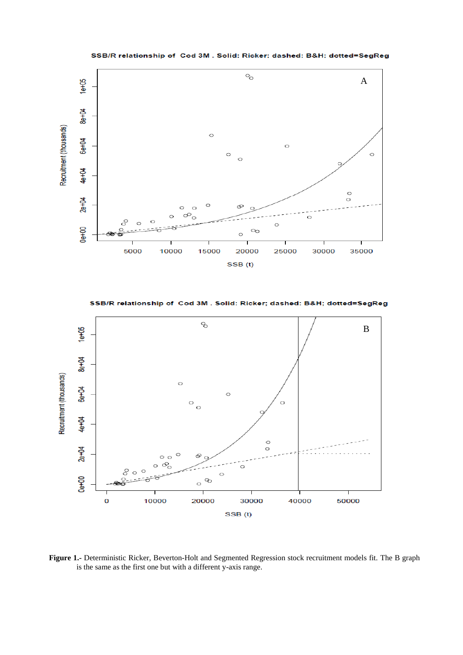SSB/R relationship of Cod 3M. Solid: Ricker; dashed: B&H; dotted=SegReg



SSB/R relationship of Cod 3M. Solid: Ricker; dashed: B&H; dotted=SegReg



**Figure 1.-** Deterministic Ricker, Beverton-Holt and Segmented Regression stock recruitment models fit. The B graph is the same as the first one but with a different y-axis range.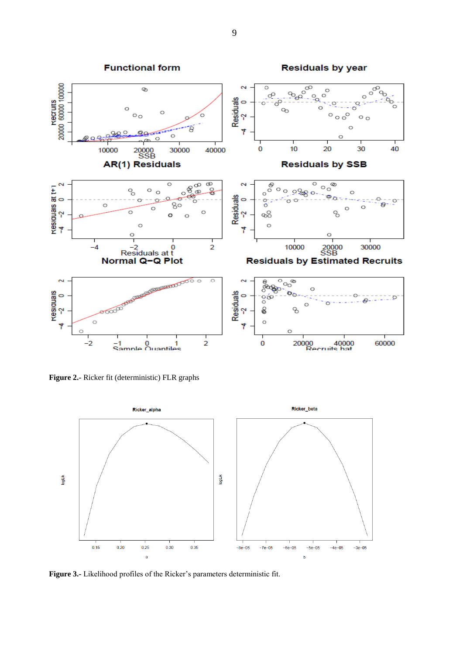

**Figure 2.-** Ricker fit (deterministic) FLR graphs



**Figure 3.-** Likelihood profiles of the Ricker's parameters deterministic fit.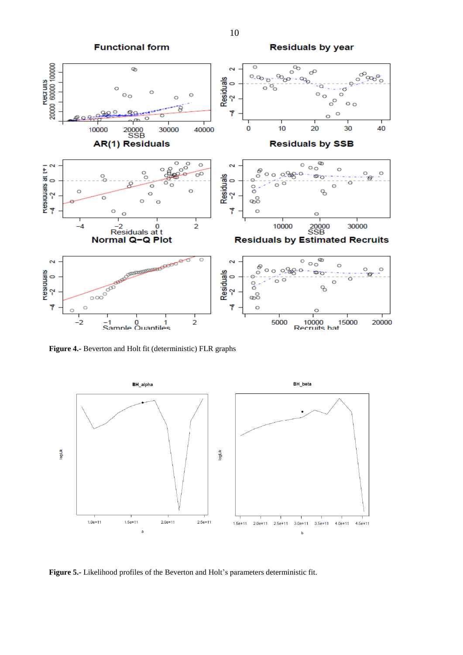**Functional form** 





**Figure 4.-** Beverton and Holt fit (deterministic) FLR graphs



**Figure 5.-** Likelihood profiles of the Beverton and Holt's parameters deterministic fit.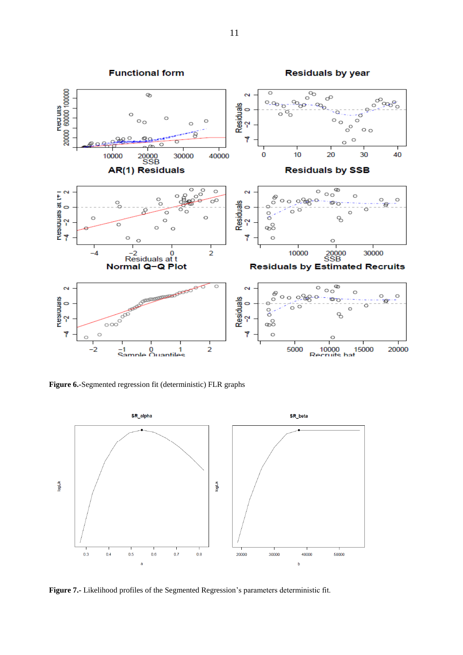

**Figure 6.-**Segmented regression fit (deterministic) FLR graphs



**Figure 7.-** Likelihood profiles of the Segmented Regression's parameters deterministic fit.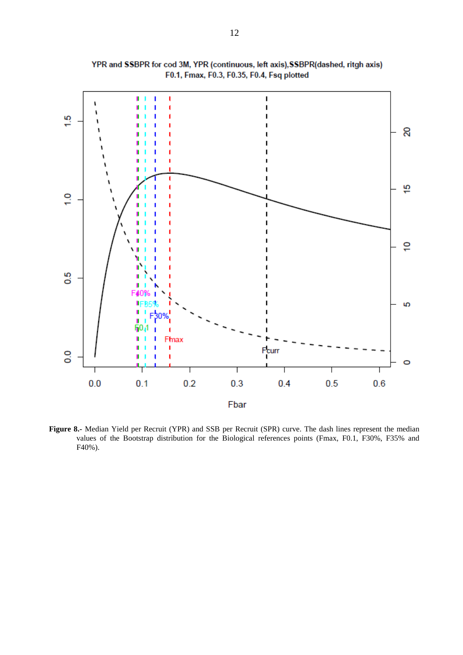

YPR and SSBPR for cod 3M, YPR (continuous, left axis), SSBPR(dashed, ritgh axis) F0.1, Fmax, F0.3, F0.35, F0.4, Fsq plotted

**Figure 8.-** Median Yield per Recruit (YPR) and SSB per Recruit (SPR) curve. The dash lines represent the median values of the Bootstrap distribution for the Biological references points (Fmax, F0.1, F30%, F35% and F40%).